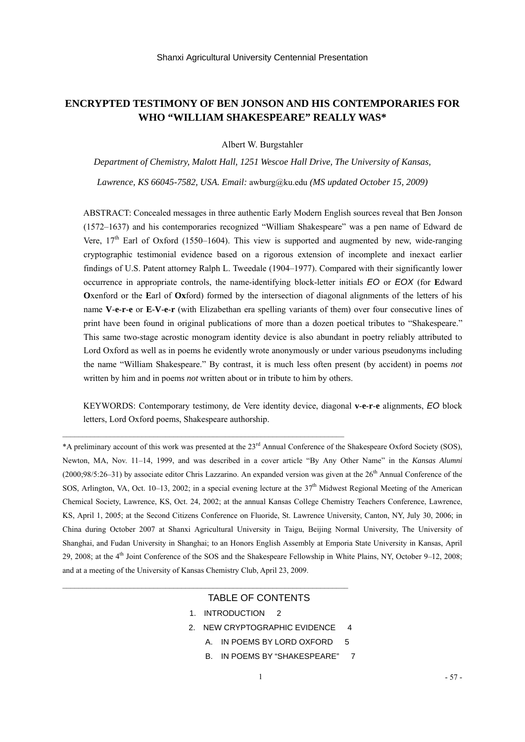# **ENCRYPTED TESTIMONY OF BEN JONSON AND HIS CONTEMPORARIES FOR WHO "WILLIAM SHAKESPEARE" REALLY WAS\***

Albert W. Burgstahler

*Department of Chemistry, Malott Hall, 1251 Wescoe Hall Drive, The University of Kansas,* 

*Lawrence, KS 66045-7582, USA. Email:* [awburg@ku.edu](mailto:awburg@ku.edu) *(MS updated October 15, 2009)*

ABSTRACT: Concealed messages in three authentic Early Modern English sources reveal that Ben Jonson (1572–1637) and his contemporaries recognized "William Shakespeare" was a pen name of Edward de Vere,  $17<sup>th</sup>$  Earl of Oxford (1550–1604). This view is supported and augmented by new, wide-ranging cryptographic testimonial evidence based on a rigorous extension of incomplete and inexact earlier findings of U.S. Patent attorney Ralph L. Tweedale (1904–1977). Compared with their significantly lower occurrence in appropriate controls, the name-identifying block-letter initials *EO* or *EOX* (for **E**dward **O**xenford or the **E**arl of **Ox**ford) formed by the intersection of diagonal alignments of the letters of his name **V**-**e**-**r**-**e** or **E**-**V**-**e**-**r** (with Elizabethan era spelling variants of them) over four consecutive lines of print have been found in original publications of more than a dozen poetical tributes to "Shakespeare." This same two-stage acrostic monogram identity device is also abundant in poetry reliably attributed to Lord Oxford as well as in poems he evidently wrote anonymously or under various pseudonyms including the name "William Shakespeare." By contrast, it is much less often present (by accident) in poems *not* written by him and in poems *not* written about or in tribute to him by others.

KEYWORDS: Contemporary testimony, de Vere identity device, diagonal **v**-**e**-**r**-**e** alignments, *EO* block letters, Lord Oxford poems, Shakespeare authorship.

\*A preliminary account of this work was presented at the 23rd Annual Conference of the Shakespeare Oxford Society (SOS), Newton, MA, Nov. 11–14, 1999, and was described in a cover article "By Any Other Name" in the *Kansas Alumni*  $(2000; 98/5:26-31)$  by associate editor Chris Lazzarino. An expanded version was given at the  $26<sup>th</sup>$  Annual Conference of the SOS, Arlington, VA, Oct. 10–13, 2002; in a special evening lecture at the  $37<sup>th</sup>$  Midwest Regional Meeting of the American Chemical Society, Lawrence, KS, Oct. 24, 2002; at the annual Kansas College Chemistry Teachers Conference, Lawrence, KS, April 1, 2005; at the Second Citizens Conference on Fluoride, St. Lawrence University, Canton, NY, July 30, 2006; in China during October 2007 at Shanxi Agricultural University in Taigu, Beijing Normal University, The University of Shanghai, and Fudan University in Shanghai; to an Honors English Assembly at Emporia State University in Kansas, April 29, 2008; at the 4th Joint Conference of the SOS and the Shakespeare Fellowship in White Plains, NY, October 9–12, 2008; and at a meeting of the University of Kansas Chemistry Club, April 23, 2009.

## TABLE OF CONTENTS

1. INTRODUCTION 2

 $\mathcal{L}_\text{max} = \frac{1}{2} \sum_{i=1}^n \mathcal{L}_\text{max}(\mathbf{x}_i - \mathbf{y}_i)$ 

 $\mathcal{L}_\text{max}$ 

- 2. NEW CRYPTOGRAPHIC EVIDENCE 4
	- A. IN POEMS BY LORD OXFORD 5
	- B. IN POEMS BY "SHAKESPEARE" 7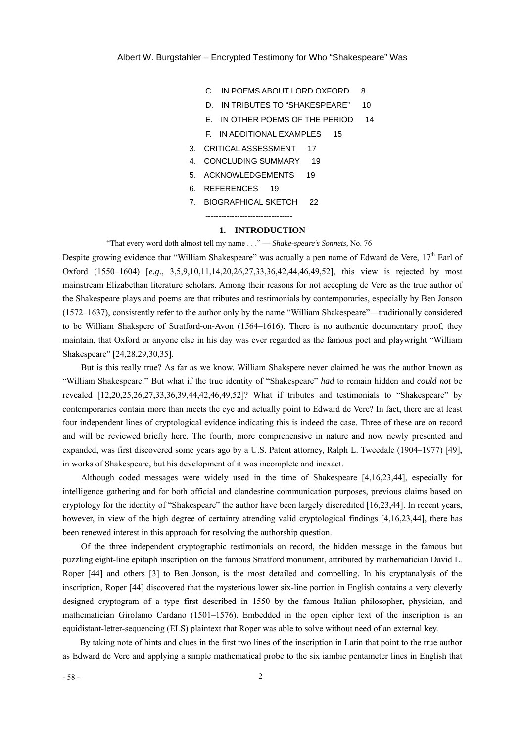- C. IN POEMS ABOUT LORD OXFORD 8
- D. IN TRIBUTES TO "SHAKESPEARE" 10
- E. IN OTHER POEMS OF THE PERIOD 14
- F.IN ADDITIONAL EXAMPLES 15
- 3. CRITICAL ASSESSMENT 17
- 4. CONCLUDING SUMMARY 19
- 5. ACKNOWLEDGEMENTS 19
- 6. REFERENCES 19
- 7. BIOGRAPHICAL SKETCH 22 ---------------------------------

#### **1. INTRODUCTION**

"That every word doth almost tell my name . . ." — *Shake-speare's Sonnets,* No. 76

Despite growing evidence that "William Shakespeare" was actually a pen name of Edward de Vere, 17<sup>th</sup> Earl of Oxford (1550–1604) [*e.g*., 3,5,9,10,11,14,20,26,27,33,36,42,44,46,49,52], this view is rejected by most mainstream Elizabethan literature scholars. Among their reasons for not accepting de Vere as the true author of the Shakespeare plays and poems are that tributes and testimonials by contemporaries, especially by Ben Jonson (1572–1637), consistently refer to the author only by the name "William Shakespeare"—traditionally considered to be William Shakspere of Stratford-on-Avon (1564–1616). There is no authentic documentary proof, they maintain, that Oxford or anyone else in his day was ever regarded as the famous poet and playwright "William Shakespeare" [24,28,29,30,35].

But is this really true? As far as we know, William Shakspere never claimed he was the author known as "William Shakespeare." But what if the true identity of "Shakespeare" *had* to remain hidden and *could not* be revealed [12,20,25,26,27,33,36,39,44,42,46,49,52]? What if tributes and testimonials to "Shakespeare" by contemporaries contain more than meets the eye and actually point to Edward de Vere? In fact, there are at least four independent lines of cryptological evidence indicating this is indeed the case. Three of these are on record and will be reviewed briefly here. The fourth, more comprehensive in nature and now newly presented and expanded, was first discovered some years ago by a U.S. Patent attorney, Ralph L. Tweedale (1904–1977) [49], in works of Shakespeare, but his development of it was incomplete and inexact.

Although coded messages were widely used in the time of Shakespeare [4,16,23,44], especially for intelligence gathering and for both official and clandestine communication purposes, previous claims based on cryptology for the identity of "Shakespeare" the author have been largely discredited [16,23,44]. In recent years, however, in view of the high degree of certainty attending valid cryptological findings [4,16,23,44], there has been renewed interest in this approach for resolving the authorship question.

Of the three independent cryptographic testimonials on record, the hidden message in the famous but puzzling eight-line epitaph inscription on the famous Stratford monument, attributed by mathematician David L. Roper [44] and others [3] to Ben Jonson, is the most detailed and compelling. In his cryptanalysis of the inscription, Roper [44] discovered that the mysterious lower six-line portion in English contains a very cleverly designed cryptogram of a type first described in 1550 by the famous Italian philosopher, physician, and mathematician Girolamo Cardano (1501–1576). Embedded in the open cipher text of the inscription is an equidistant-letter-sequencing (ELS) plaintext that Roper was able to solve without need of an external key.

By taking note of hints and clues in the first two lines of the inscription in Latin that point to the true author as Edward de Vere and applying a simple mathematical probe to the six iambic pentameter lines in English that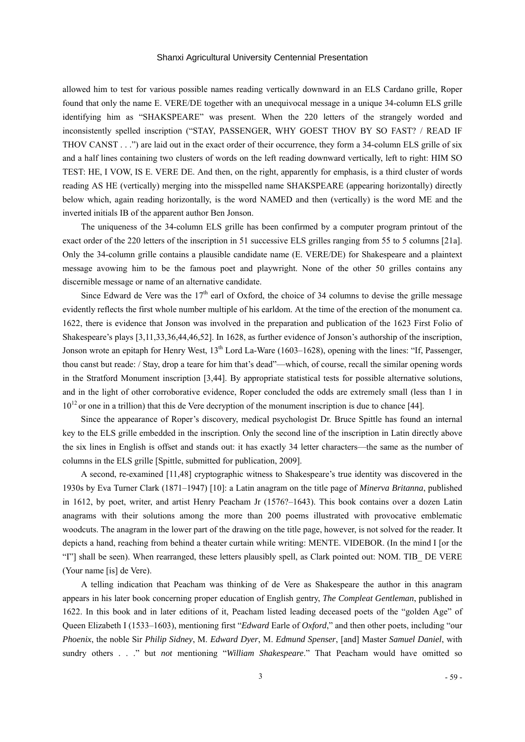allowed him to test for various possible names reading vertically downward in an ELS Cardano grille, Roper found that only the name E. VERE/DE together with an unequivocal message in a unique 34-column ELS grille identifying him as "SHAKSPEARE" was present. When the 220 letters of the strangely worded and inconsistently spelled inscription ("STAY, PASSENGER, WHY GOEST THOV BY SO FAST? / READ IF THOV CANST . . .") are laid out in the exact order of their occurrence, they form a 34-column ELS grille of six and a half lines containing two clusters of words on the left reading downward vertically, left to right: HIM SO TEST: HE, I VOW, IS E. VERE DE. And then, on the right, apparently for emphasis, is a third cluster of words reading AS HE (vertically) merging into the misspelled name SHAKSPEARE (appearing horizontally) directly below which, again reading horizontally, is the word NAMED and then (vertically) is the word ME and the inverted initials IB of the apparent author Ben Jonson.

The uniqueness of the 34-column ELS grille has been confirmed by a computer program printout of the exact order of the 220 letters of the inscription in 51 successive ELS grilles ranging from 55 to 5 columns [21a]. Only the 34-column grille contains a plausible candidate name (E. VERE/DE) for Shakespeare and a plaintext message avowing him to be the famous poet and playwright. None of the other 50 grilles contains any discernible message or name of an alternative candidate.

Since Edward de Vere was the  $17<sup>th</sup>$  earl of Oxford, the choice of 34 columns to devise the grille message evidently reflects the first whole number multiple of his earldom. At the time of the erection of the monument ca. 1622, there is evidence that Jonson was involved in the preparation and publication of the 1623 First Folio of Shakespeare's plays [3,11,33,36,44,46,52]. In 1628, as further evidence of Jonson's authorship of the inscription, Jonson wrote an epitaph for Henry West,  $13<sup>th</sup>$  Lord La-Ware (1603–1628), opening with the lines: "If, Passenger, thou canst but reade: / Stay, drop a teare for him that's dead"—which, of course, recall the similar opening words in the Stratford Monument inscription [3,44]. By appropriate statistical tests for possible alternative solutions, and in the light of other corroborative evidence, Roper concluded the odds are extremely small (less than 1 in  $10^{12}$  or one in a trillion) that this de Vere decryption of the monument inscription is due to chance [44].

Since the appearance of Roper's discovery, medical psychologist Dr. Bruce Spittle has found an internal key to the ELS grille embedded in the inscription. Only the second line of the inscription in Latin directly above the six lines in English is offset and stands out: it has exactly 34 letter characters—the same as the number of columns in the ELS grille [Spittle, submitted for publication, 2009].

A second, re-examined [11,48] cryptographic witness to Shakespeare's true identity was discovered in the 1930s by Eva Turner Clark (1871–1947) [10]: a Latin anagram on the title page of *Minerva Britanna*, published in 1612, by poet, writer, and artist Henry Peacham Jr (1576?–1643). This book contains over a dozen Latin anagrams with their solutions among the more than 200 poems illustrated with provocative emblematic woodcuts. The anagram in the lower part of the drawing on the title page, however, is not solved for the reader. It depicts a hand, reaching from behind a theater curtain while writing: MENTE. VIDEBOR. (In the mind I [or the "I"] shall be seen). When rearranged, these letters plausibly spell, as Clark pointed out: NOM. TIB\_ DE VERE (Your name [is] de Vere).

A telling indication that Peacham was thinking of de Vere as Shakespeare the author in this anagram appears in his later book concerning proper education of English gentry, *The Compleat Gentleman*, published in 1622. In this book and in later editions of it, Peacham listed leading deceased poets of the "golden Age" of Queen Elizabeth I (1533–1603), mentioning first "*Edward* Earle of *Oxford*," and then other poets, including "our *Phoenix*, the noble Sir *Philip Sidney*, M. *Edward Dyer*, M. *Edmund Spenser*, [and] Master *Samuel Daniel*, with sundry others . . ." but *not* mentioning "*William Shakespeare*." That Peacham would have omitted so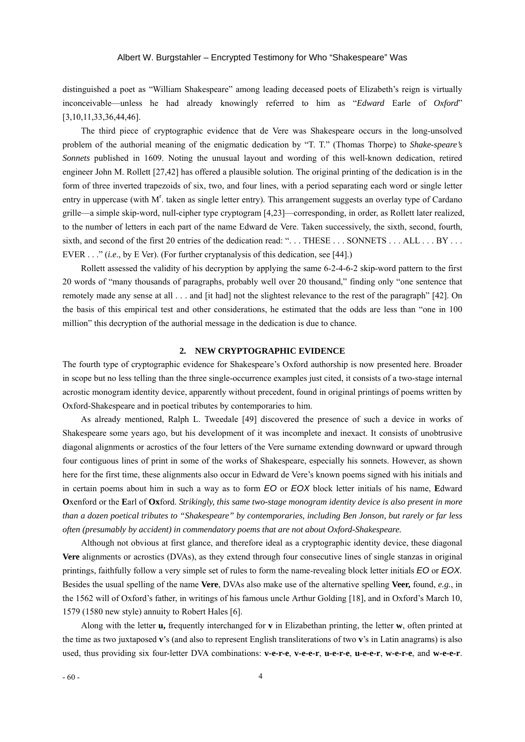distinguished a poet as "William Shakespeare" among leading deceased poets of Elizabeth's reign is virtually inconceivable—unless he had already knowingly referred to him as "*Edward* Earle of *Oxford*" [3,10,11,33,36,44,46].

The third piece of cryptographic evidence that de Vere was Shakespeare occurs in the long-unsolved problem of the authorial meaning of the enigmatic dedication by "T. T." (Thomas Thorpe) to *Shake-speare's Sonnets* published in 1609. Noting the unusual layout and wording of this well-known dedication, retired engineer John M. Rollett [27,42] has offered a plausible solution. The original printing of the dedication is in the form of three inverted trapezoids of six, two, and four lines, with a period separating each word or single letter entry in uppercase (with  $M<sup>r</sup>$  taken as single letter entry). This arrangement suggests an overlay type of Cardano grille—a simple skip-word, null-cipher type cryptogram [4,23]—corresponding, in order, as Rollett later realized, to the number of letters in each part of the name Edward de Vere. Taken successively, the sixth, second, fourth, sixth, and second of the first 20 entries of the dedication read: "... THESE ... SONNETS ... ALL ... BY ... EVER . . ." (*i.e*., by E Ver). (For further cryptanalysis of this dedication, see [44].)

Rollett assessed the validity of his decryption by applying the same 6-2-4-6-2 skip-word pattern to the first 20 words of "many thousands of paragraphs, probably well over 20 thousand," finding only "one sentence that remotely made any sense at all . . . and [it had] not the slightest relevance to the rest of the paragraph" [42]. On the basis of this empirical test and other considerations, he estimated that the odds are less than "one in 100 million" this decryption of the authorial message in the dedication is due to chance.

#### **2. NEW CRYPTOGRAPHIC EVIDENCE**

The fourth type of cryptographic evidence for Shakespeare's Oxford authorship is now presented here. Broader in scope but no less telling than the three single-occurrence examples just cited, it consists of a two-stage internal acrostic monogram identity device, apparently without precedent, found in original printings of poems written by Oxford-Shakespeare and in poetical tributes by contemporaries to him.

As already mentioned, Ralph L. Tweedale [49] discovered the presence of such a device in works of Shakespeare some years ago, but his development of it was incomplete and inexact. It consists of unobtrusive diagonal alignments or acrostics of the four letters of the Vere surname extending downward or upward through four contiguous lines of print in some of the works of Shakespeare, especially his sonnets. However, as shown here for the first time, these alignments also occur in Edward de Vere's known poems signed with his initials and in certain poems about him in such a way as to form *EO* or *EOX* block letter initials of his name, **E**dward **O**xenford or the **E**arl of **Ox**ford. *Strikingly, this same two-stage monogram identity device is also present in more than a dozen poetical tributes to "Shakespeare" by contemporaries, including Ben Jonson, but rarely or far less often (presumably by accident) in commendatory poems that are not about Oxford-Shakespeare.* 

Although not obvious at first glance, and therefore ideal as a cryptographic identity device, these diagonal **Vere** alignments or acrostics (DVAs), as they extend through four consecutive lines of single stanzas in original printings, faithfully follow a very simple set of rules to form the name-revealing block letter initials *EO* or *EOX.* Besides the usual spelling of the name **Vere**, DVAs also make use of the alternative spelling **Veer,** found, *e.g.*, in the 1562 will of Oxford's father, in writings of his famous uncle Arthur Golding [18], and in Oxford's March 10, 1579 (1580 new style) annuity to Robert Hales [6].

Along with the letter **u,** frequently interchanged for **v** in Elizabethan printing, the letter **w**, often printed at the time as two juxtaposed **v**'s (and also to represent English transliterations of two **v**'s in Latin anagrams) is also used, thus providing six four-letter DVA combinations: **v-e-r-e**, **v-e-e-r**, **u-e-r-e**, **u-e-e-r**, **w-e-r-e**, and **w-e-e-r**.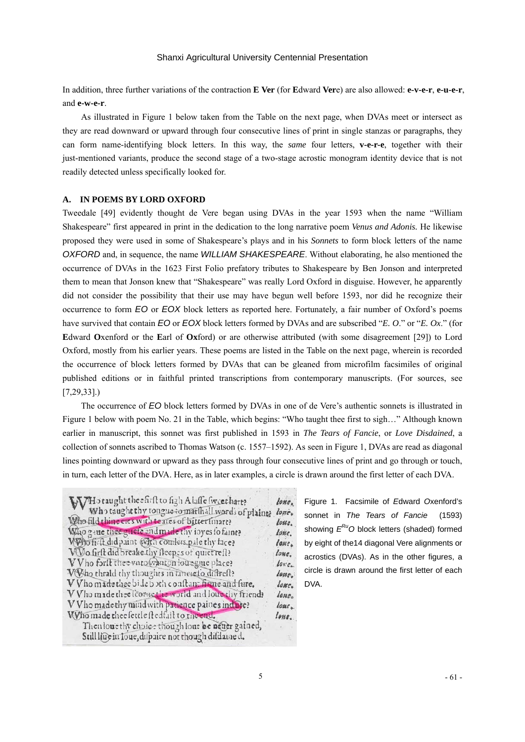In addition, three further variations of the contraction **E Ver** (for **E**dward **Ver**e) are also allowed: **e-v-e-r**, **e-u-e-r**, and **e-w-e-r**.

As illustrated in Figure 1 below taken from the Table on the next page, when DVAs meet or intersect as they are read downward or upward through four consecutive lines of print in single stanzas or paragraphs, they can form name-identifying block letters. In this way, the *same* four letters, **v-e-r-e**, together with their just-mentioned variants, produce the second stage of a two-stage acrostic monogram identity device that is not readily detected unless specifically looked for.

### **A. IN POEMS BY LORD OXFORD**

Tweedale [49] evidently thought de Vere began using DVAs in the year 1593 when the name "William Shakespeare" first appeared in print in the dedication to the long narrative poem *Venus and Adonis.* He likewise proposed they were used in some of Shakespeare's plays and in his *Sonnets* to form block letters of the name *OXFORD* and, in sequence, the name *WILLIAM SHAKESPEARE*. Without elaborating, he also mentioned the occurrence of DVAs in the 1623 First Folio prefatory tributes to Shakespeare by Ben Jonson and interpreted them to mean that Jonson knew that "Shakespeare" was really Lord Oxford in disguise. However, he apparently did not consider the possibility that their use may have begun well before 1593, nor did he recognize their occurrence to form *EO* or *EOX* block letters as reported here. Fortunately, a fair number of Oxford's poems have survived that contain *EO* or *EOX* block letters formed by DVAs and are subscribed "*E. O*." or "*E. Ox*." (for **E**dward **O**xenford or the **E**arl of **Ox**ford) or are otherwise attributed (with some disagreement [29]) to Lord Oxford, mostly from his earlier years. These poems are listed in the Table on the next page, wherein is recorded the occurrence of block letters formed by DVAs that can be gleaned from microfilm facsimiles of original published editions or in faithful printed transcriptions from contemporary manuscripts. (For sources, see [7,29,33].)

The occurrence of *EO* block letters formed by DVAs in one of de Vere's authentic sonnets is illustrated in Figure 1 below with poem No. 21 in the Table, which begins: "Who taught thee first to sigh…" Although known earlier in manuscript, this sonnet was first published in 1593 in *The Tears of Fancie*, or *Love Disdained*, a collection of sonnets ascribed to Thomas Watson (c. 1557–1592). As seen in Figure 1, DVAs are read as diagonal lines pointing downward or upward as they pass through four consecutive lines of print and go through or touch, in turn, each letter of the DVA. Here, as in later examples, a circle is drawn around the first letter of each DVA.

| WHo taught the efirft to figh Alaffe fweet hart?       | $l$ one    |
|--------------------------------------------------------|------------|
|                                                        | lone.      |
| Who fild thine eres with teares of bitterlinare?       | loue.      |
| Who gave thee guete and made thy ioyes fo faint?       | lone.      |
| WPho firft did paint (Fifth conflers pale thy face?    | lone.      |
| Wo firft did breake thy ileepes of quiet reft?         | lone.      |
| VVho forit theevatowanton four gue place?              | $l$ ore    |
| V Tho thrald thy thoughts in taneie io diffrest?       | $l$ ouse.  |
| V Vho made thee bide b ith conftant frame and fure.    | $l$ ome.   |
| V V ho made thee lcorne the world and loue thy friend? | lone.      |
| V Vho made thy mind with patience paines induce?       | $lone_{n}$ |
| Who made thee settle stedfail to the end.              | $l$ one.   |
| Then louethy choice though lone be neuer gained,       |            |
| Still liue in Toue, difpaire not though difdaine d.    |            |
|                                                        |            |

Figure 1. Facsimile of *E*dward *O*xenford's sonnet in *The Tears of Fancie* (1593) showing  $E^{RU}O$  block letters (shaded) formed by eight of the14 diagonal Vere alignments or acrostics (DVAs). As in the other figures, a circle is drawn around the first letter of each DVA.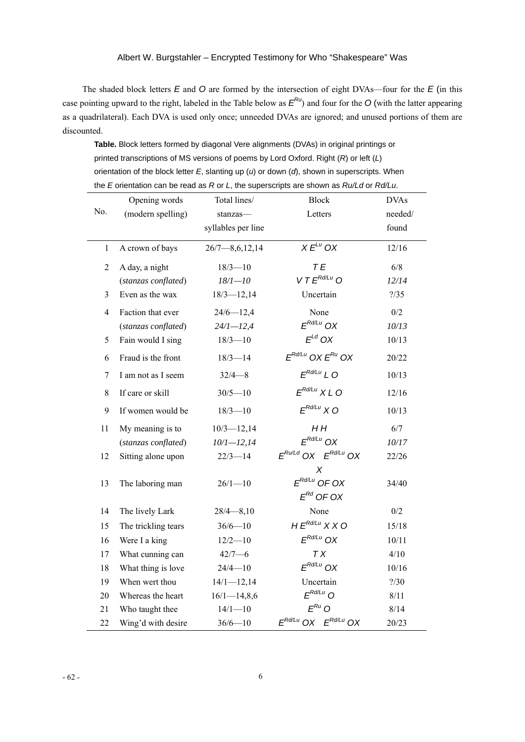The shaded block letters *E* and *O* are formed by the intersection of eight DVAs—four for the *E* (in this case pointing upward to the right, labeled in the Table below as  $E^{R_U}$  and four for the *O* (with the latter appearing as a quadrilateral). Each DVA is used only once; unneeded DVAs are ignored; and unused portions of them are discounted.

 **Table.** Block letters formed by diagonal Vere alignments (DVAs) in original printings or printed transcriptions of MS versions of poems by Lord Oxford. Right (*R*) or left (*L*) orientation of the block letter *E*, slanting up (*u*) or down (*d*), shown in superscripts. When the *E* orientation can be read as *R* or *L*, the superscripts are shown as *Ru/Ld* or *Rd/Lu*.

|                | Opening words       | Total lines/          | <b>Block</b>                  | <b>DVAs</b> |
|----------------|---------------------|-----------------------|-------------------------------|-------------|
| No.            | (modern spelling)   | stanzas-              | Letters                       | needed/     |
|                |                     | syllables per line    |                               | found       |
| $\mathbf{1}$   | A crown of bays     | $26/7 - 8, 6, 12, 14$ | $X E^{Lu}$ OX                 | 12/16       |
| $\overline{2}$ | A day, a night      | $18/3 - 10$           | TE                            | 6/8         |
|                | (stanzas conflated) | $18/1 - 10$           | $V T E^{Rd/Lu}$ O             | 12/14       |
| 3              | Even as the wax     | $18/3 - 12,14$        | Uncertain                     | ? / 35      |
| $\overline{4}$ | Faction that ever   | $24/6 - 12,4$         | None                          | 0/2         |
|                | (stanzas conflated) | $24/1 - 12,4$         | $F^{Rd/Lu}$ OX                | 10/13       |
| 5              | Fain would I sing   | $18/3 - 10$           | $E^{Ld}$ OX                   | 10/13       |
| 6              | Fraud is the front  | $18/3 - 14$           | $E^{Rd/Lu}$ OX $E^{Ru}$ OX    | 20/22       |
| $\tau$         | I am not as I seem  | $32/4 - 8$            | $E^{Rd/Lu}$ L O               | 10/13       |
| $8\,$          | If care or skill    | $30/5 - 10$           | $E^{Rd/Lu}$ X L O             | 12/16       |
| 9              | If women would be   | $18/3 - 10$           | $F^{Rd/Lu}$ X O               | 10/13       |
| 11             | My meaning is to    | $10/3 - 12,14$        | H H                           | 6/7         |
|                | (stanzas conflated) | $10/1 - 12,14$        | $F^{Rd/Lu}$ OX                | 10/17       |
| 12             | Sitting alone upon  | $22/3 - 14$           | $E^{Ru/Ld}$ OX $E^{Rd/Lu}$ OX | 22/26       |
|                |                     |                       | х                             |             |
| 13             | The laboring man    | $26/1 - 10$           | $F^{Rd/Lu}$ OF OX             | 34/40       |
|                |                     |                       | $E^{Rd}$ OF OX                |             |
| 14             | The lively Lark     | $28/4 - 8,10$         | None                          | 0/2         |
| 15             | The trickling tears | $36/6 - 10$           | $HE^{Rd/Lu}$ X X O            | 15/18       |
| 16             | Were I a king       | $12/2 - 10$           | $E^{Rd/Lu}$ OX                | 10/11       |
| 17             | What cunning can    | $42/7 - 6$            | <b>TX</b>                     | 4/10        |
| 18             | What thing is love  | $24/4 - 10$           | $E^{Rd/Lu}$ OX                | 10/16       |
| 19             | When wert thou      | $14/1 - 12,14$        | Uncertain                     | 2/30        |
| 20             | Whereas the heart   | $16/1 - 14,8,6$       | $E^{Rd/Lu}$ O                 | 8/11        |
| 21             | Who taught thee     | $14/1 - 10$           | $E^{Ru}$ O                    | 8/14        |
| 22             | Wing'd with desire  | $36/6 - 10$           | $E^{Rd/Lu}$ OX $E^{Rd/Lu}$ OX | 20/23       |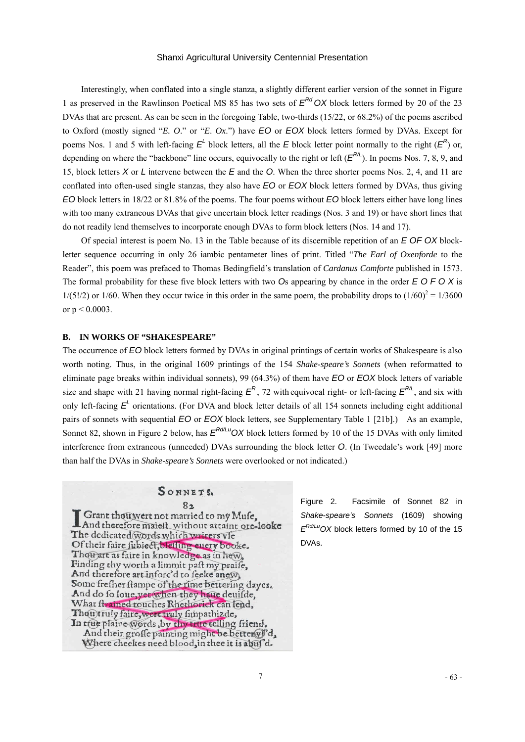Interestingly, when conflated into a single stanza, a slightly different earlier version of the sonnet in Figure 1 as preserved in the Rawlinson Poetical MS 85 has two sets of *ERd OX* block letters formed by 20 of the 23 DVAs that are present. As can be seen in the foregoing Table, two-thirds (15/22, or 68.2%) of the poems ascribed to Oxford (mostly signed "*E. O*." or "*E*. *Ox*.") have *EO* or *EOX* block letters formed by DVAs. Except for poems Nos. 1 and 5 with left-facing  $E^{\perp}$  block letters, all the *E* block letter point normally to the right ( $E^R$ ) or, depending on where the "backbone" line occurs, equivocally to the right or left  $(E^{R/L})$ . In poems Nos. 7, 8, 9, and 15, block letters *X* or *L* intervene between the *E* and the *O*. When the three shorter poems Nos. 2, 4, and 11 are conflated into often-used single stanzas, they also have *EO* or *EOX* block letters formed by DVAs, thus giving *EO* block letters in 18/22 or 81.8% of the poems. The four poems without *EO* block letters either have long lines with too many extraneous DVAs that give uncertain block letter readings (Nos. 3 and 19) or have short lines that do not readily lend themselves to incorporate enough DVAs to form block letters (Nos. 14 and 17).

Of special interest is poem No. 13 in the Table because of its discernible repetition of an *E OF OX* blockletter sequence occurring in only 26 iambic pentameter lines of print. Titled "*The Earl of Oxenforde* to the Reader", this poem was prefaced to Thomas Bedingfield's translation of *Cardanus Comforte* published in 1573. The formal probability for these five block letters with two *O*s appearing by chance in the order *E O F O X* is  $1/(5!/2)$  or  $1/60$ . When they occur twice in this order in the same poem, the probability drops to  $(1/60)^2 = 1/3600$ or  $p < 0.0003$ .

#### **B. IN WORKS OF "SHAKESPEARE"**

The occurrence of *EO* block letters formed by DVAs in original printings of certain works of Shakespeare is also worth noting. Thus, in the original 1609 printings of the 154 *Shake-speare's Sonnets* (when reformatted to eliminate page breaks within individual sonnets), 99 (64.3%) of them have *EO* or *EOX* block letters of variable size and shape with 21 having normal right-facing  $E^R$ , 72 with equivocal right- or left-facing  $E^{R/L}$ , and six with only left-facing  $E<sup>L</sup>$  orientations. (For DVA and block letter details of all 154 sonnets including eight additional pairs of sonnets with sequential *EO* or *EOX* block letters, see Supplementary Table 1 [21b].) As an example, Sonnet 82, shown in Figure 2 below, has  $E^{Rd/LU}$  OX block letters formed by 10 of the 15 DVAs with only limited interference from extraneous (unneeded) DVAs surrounding the block letter *O*. (In Tweedale's work [49] more than half the DVAs in *Shake-speare's Sonnets* were overlooked or not indicated.)

## SONNETS.

 $8<sub>2</sub>$ Grant thouwert not married to my Muse. And therefore maiest without attaint ore-looke The dedicated words which writers vie Of their faire fubieet, bleffing euery booke. Thou art as faire in knowledge as in hew, Finding thy worth a limmit paft my praife, And therefore art inforc'd to feeke anew, Some fresher stampe of the time bettering dayes.<br>And do fo loue, yet when they have deuisde,<br>What strained rouches Rhethorick can lend, Thou truly faire, wert truly fimpathizde, In true plaine words, by thy true telling friend. And their groffe painting might be better Vd, Where cheekes need blood, in thee it is abuf'd.

Figure 2. Facsimile of Sonnet 82 in *Shake-speare's Sonnets* (1609) showing *ERd/LuOX* block letters formed by 10 of the 15 DVAs.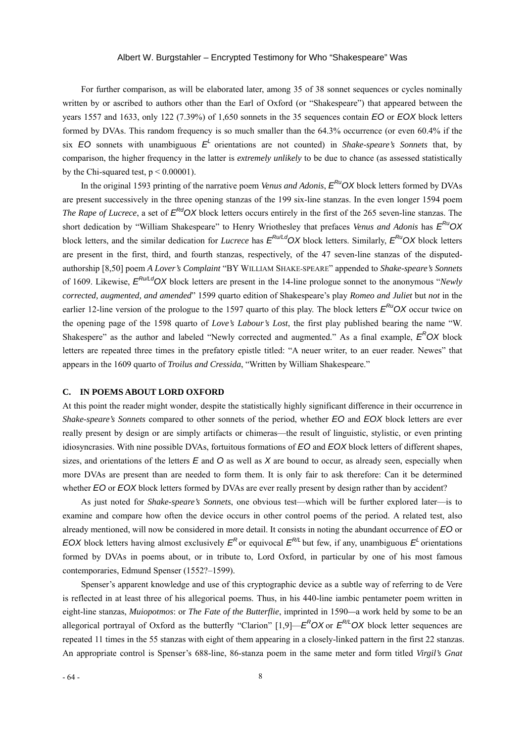For further comparison, as will be elaborated later, among 35 of 38 sonnet sequences or cycles nominally written by or ascribed to authors other than the Earl of Oxford (or "Shakespeare") that appeared between the years 1557 and 1633, only 122 (7.39%) of 1,650 sonnets in the 35 sequences contain *EO* or *EOX* block letters formed by DVAs. This random frequency is so much smaller than the 64.3% occurrence (or even 60.4% if the six  $EO$  sonnets with unambiguous  $E<sup>L</sup>$  orientations are not counted) in *Shake-speare's Sonnets* that, by comparison, the higher frequency in the latter is *extremely unlikely* to be due to chance (as assessed statistically by the Chi-squared test,  $p < 0.00001$ ).

In the original 1593 printing of the narrative poem *Venus and Adonis*,  $E^{RU}$ OX block letters formed by DVAs are present successively in the three opening stanzas of the 199 six-line stanzas. In the even longer 1594 poem *The Rape of Lucrece*, a set of  $E^{Rd}$ OX block letters occurs entirely in the first of the 265 seven-line stanzas. The short dedication by "William Shakespeare" to Henry Wriothesley that prefaces *Venus and Adonis* has *ERuOX* block letters, and the similar dedication for *Lucrece* has  $E^{Ru/d}$ OX block letters. Similarly,  $E^{Ru}$ OX block letters are present in the first, third, and fourth stanzas, respectively, of the 47 seven-line stanzas of the disputedauthorship [8,50] poem *A Lover's Complaint* "BY WILLIAM SHAKE-SPEARE" appended to *Shake-speare's Sonnets* of 1609. Likewise, *ERu/LdOX* block letters are present in the 14-line prologue sonnet to the anonymous "*Newly corrected, augmented, and amended*" 1599 quarto edition of Shakespeare's play *Romeo and Juliet* but *not* in the earlier 12-line version of the prologue to the 1597 quarto of this play. The block letters  $E^{R_U}OX$  occur twice on the opening page of the 1598 quarto of *Love's Labour's Lost*, the first play published bearing the name "W. Shakespere" as the author and labeled "Newly corrected and augmented." As a final example,  $E<sup>R</sup>OX$  block letters are repeated three times in the prefatory epistle titled: "A neuer writer, to an euer reader. Newes" that appears in the 1609 quarto of *Troilus and Cressida*, "Written by William Shakespeare."

### **C. IN POEMS ABOUT LORD OXFORD**

At this point the reader might wonder, despite the statistically highly significant difference in their occurrence in *Shake-speare's Sonnets* compared to other sonnets of the period, whether *EO* and *EOX* block letters are ever really present by design or are simply artifacts or chimeras—the result of linguistic, stylistic, or even printing idiosyncrasies. With nine possible DVAs, fortuitous formations of *EO* and *EOX* block letters of different shapes, sizes, and orientations of the letters *E* and *O* as well as *X* are bound to occur, as already seen, especially when more DVAs are present than are needed to form them. It is only fair to ask therefore: Can it be determined whether *EO* or *EOX* block letters formed by DVAs are ever really present by design rather than by accident?

As just noted for *Shake-speare's Sonnets*, one obvious test—which will be further explored later—is to examine and compare how often the device occurs in other control poems of the period. A related test, also already mentioned, will now be considered in more detail. It consists in noting the abundant occurrence of *EO* or *EOX* block letters having almost exclusively  $E^R$  or equivocal  $E^{R/L}$  but few, if any, unambiguous  $E^L$  orientations formed by DVAs in poems about, or in tribute to, Lord Oxford, in particular by one of his most famous contemporaries, Edmund Spenser (1552?–1599).

Spenser's apparent knowledge and use of this cryptographic device as a subtle way of referring to de Vere is reflected in at least three of his allegorical poems. Thus, in his 440-line iambic pentameter poem written in eight-line stanzas, *Muiopotmos*: or *The Fate of the Butterflie*, imprinted in 1590*—*a work held by some to be an allegorical portrayal of Oxford as the butterfly "Clarion"  $[1,9]$ — $E^R$ OX or  $E^{R/L}$ OX block letter sequences are repeated 11 times in the 55 stanzas with eight of them appearing in a closely-linked pattern in the first 22 stanzas. An appropriate control is Spenser's 688-line, 86-stanza poem in the same meter and form titled *Virgil's Gnat*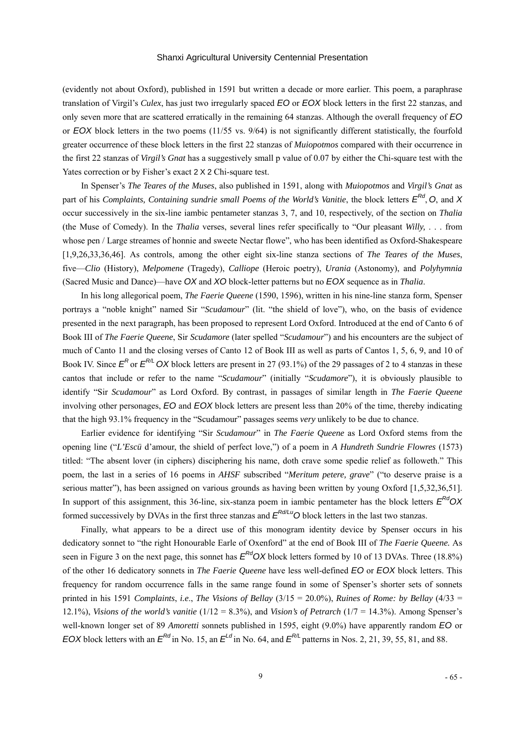(evidently not about Oxford), published in 1591 but written a decade or more earlier. This poem, a paraphrase translation of Virgil's *Culex*, has just two irregularly spaced *EO* or *EOX* block letters in the first 22 stanzas, and only seven more that are scattered erratically in the remaining 64 stanzas. Although the overall frequency of *EO* or *EOX* block letters in the two poems (11/55 vs. 9/64) is not significantly different statistically, the fourfold greater occurrence of these block letters in the first 22 stanzas of *Muiopotmos* compared with their occurrence in the first 22 stanzas of *Virgil's Gnat* has a suggestively small p value of 0.07 by either the Chi-square test with the Yates correction or by Fisher's exact 2 X 2 Chi-square test.

In Spenser's *The Teares of the Muses*, also published in 1591, along with *Muiopotmos* and *Virgil's Gnat* as part of his *Complaints, Containing sundrie small Poems of the World's Vanitie, the block letters*  $E^{Rd}$ *, O. and X* occur successively in the six-line iambic pentameter stanzas 3, 7, and 10, respectively, of the section on *Thalia*  (the Muse of Comedy). In the *Thalia* verses, several lines refer specifically to "Our pleasant *Willy,* . . . from whose pen / Large streames of honnie and sweete Nectar flowe", who has been identified as Oxford-Shakespeare [1,9,26,33,36,46]. As controls, among the other eight six-line stanza sections of *The Teares of the Muses*, five—*Clio* (History), *Melpomene* (Tragedy), *Calliope* (Heroic poetry), *Urania* (Astonomy), and *Polyhymnia* (Sacred Music and Dance)—have *OX* and *XO* block-letter patterns but no *EOX* sequence as in *Thalia*.

In his long allegorical poem, *The Faerie Queene* (1590, 1596), written in his nine-line stanza form, Spenser portrays a "noble knight" named Sir "*Scudamour*" (lit. "the shield of love"), who, on the basis of evidence presented in the next paragraph, has been proposed to represent Lord Oxford. Introduced at the end of Canto 6 of Book III of *The Faerie Queene*, Sir *Scudamore* (later spelled "*Scudamour*") and his encounters are the subject of much of Canto 11 and the closing verses of Canto 12 of Book III as well as parts of Cantos 1, 5, 6, 9, and 10 of Book IV. Since  $E^R$  or  $E^{R/L}$  OX block letters are present in 27 (93.1%) of the 29 passages of 2 to 4 stanzas in these cantos that include or refer to the name "*Scudamour*" (initially "*Scudamore*"), it is obviously plausible to identify "Sir *Scudamour*" as Lord Oxford. By contrast, in passages of similar length in *The Faerie Queene* involving other personages, *EO* and *EOX* block letters are present less than 20% of the time, thereby indicating that the high 93.1% frequency in the "Scudamour" passages seems *very* unlikely to be due to chance.

Earlier evidence for identifying "Sir *Scudamour*" in *The Faerie Queene* as Lord Oxford stems from the opening line ("*L'Escü* d'amour, the shield of perfect love,") of a poem in *A Hundreth Sundrie Flowres* (1573) titled: "The absent lover (in ciphers) disciphering his name, doth crave some spedie relief as followeth." This poem, the last in a series of 16 poems in *AHSF* subscribed "*Meritum petere, grave*" ("to deserve praise is a serious matter"), has been assigned on various grounds as having been written by young Oxford [1,5,32,36,51]. In support of this assignment, this 36-line, six-stanza poem in iambic pentameter has the block letters  $E^{Rd}OX$ formed successively by DVAs in the first three stanzas and  $E^{Rd/Lu}$ O block letters in the last two stanzas.

Finally, what appears to be a direct use of this monogram identity device by Spenser occurs in his dedicatory sonnet to "the right Honourable Earle of Oxenford" at the end of Book III of *The Faerie Queene.* As seen in Figure 3 on the next page, this sonnet has  $E^{Rd}OX$  block letters formed by 10 of 13 DVAs. Three (18.8%) of the other 16 dedicatory sonnets in *The Faerie Queene* have less well-defined *EO* or *EOX* block letters. This frequency for random occurrence falls in the same range found in some of Spenser's shorter sets of sonnets printed in his 1591 *Complaints*, *i.e*., *The Visions of Bellay* (3/15 = 20.0%), *Ruines of Rome: by Bellay* (4/33 = 12.1%), *Visions of the world's vanitie* (1/12 = 8.3%), and *Vision's of Petrarch* (1/7 = 14.3%). Among Spenser's well-known longer set of 89 *Amoretti* sonnets published in 1595, eight (9.0%) have apparently random *EO* or *EOX* block letters with an  $E^{Rd}$  in No. 15, an  $E^{Ld}$  in No. 64, and  $E^{R/L}$  patterns in Nos. 2, 21, 39, 55, 81, and 88.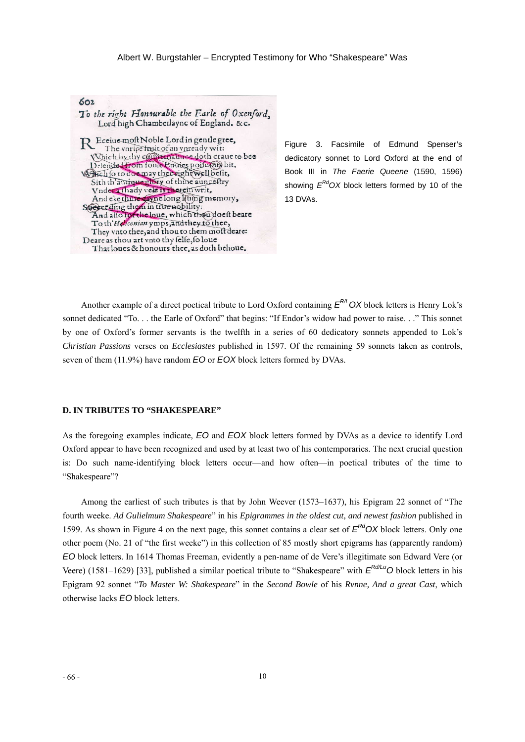

. 13 DVAs Figure 3. Facsimile of Edmund Spenser's dedicatory sonnet to Lord Oxford at the end of Book III in *The Faerie Queene* (1590, 1596) showing  $E^{Rd}$ OX block letters formed by 10 of the

Another example of a direct poetical tribute to Lord Oxford containing  $E^{PL}$ OX block letters is Henry Lok's sonnet dedicated "To. . . the Earle of Oxford" that begins: "If Endor's widow had power to raise. . ." This sonnet by one of Oxford's former servants is the twelfth in a series of 60 dedicatory sonnets appended to Lok's *Christian Passions* verses on *Ecclesiastes* published in 1597. Of the remaining 59 sonnets taken as controls, seven of them (11.9%) have random *EO* or *EOX* block letters formed by DVAs.

#### **D. IN TRIBUTES TO "SHAKESPEARE"**

As the foregoing examples indicate, *EO* and *EOX* block letters formed by DVAs as a device to identify Lord Oxford appear to have been recognized and used by at least two of his contemporaries. The next crucial question is: Do such name-identifying block letters occur—and how often—in poetical tributes of the time to "Shakespeare"?

Among the earliest of such tributes is that by John Weever (1573–1637), his Epigram 22 sonnet of "The fourth weeke. *Ad Gulielmum Shakespeare*" in his *Epigrammes in the oldest cut, and newest fashion* published in 1599. As shown in Figure 4 on the next page, this sonnet contains a clear set of *ERdOX* block letters. Only one other poem (No. 21 of "the first weeke") in this collection of 85 mostly short epigrams has (apparently random) *EO* block letters. In 1614 Thomas Freeman, evidently a pen-name of de Vere's illegitimate son Edward Vere (or Veere) (1581–1629) [33], published a similar poetical tribute to "Shakespeare" with  $E^{Rd/L}$ <sup>O</sup> block letters in his Epigram 92 sonnet "*To Master W: Shakespeare*" in the *Second Bowle* of his *Rvnne, And a great Cast*, which otherwise lacks *EO* block letters.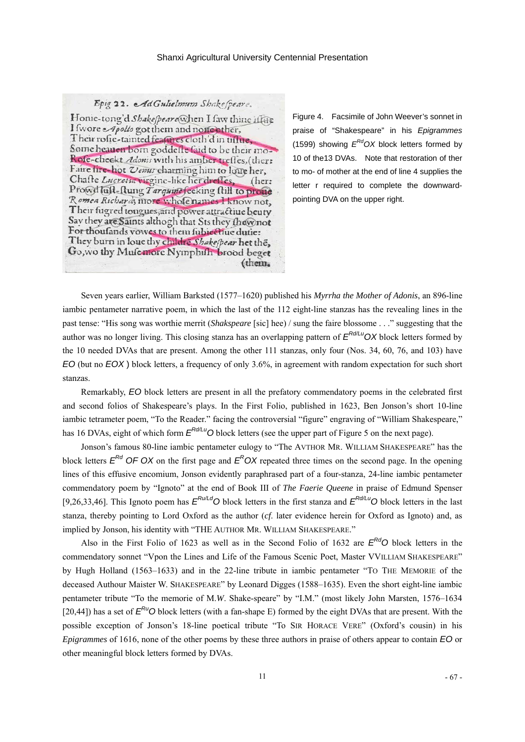Epig 22. AdGulielmum Shakespeare.

Honie-tong'd Shakespeare when I faw thine if the I fwore Apollo got them and none other, Their rofie-tainted features cloth'd in tifue, Some heauen born goddelle faid to be their mo-Rofe-checkt Adonis with his amber trefles, (ther: Faire fire-hot Venus charming him to loue her, Chaste Lucretia virgine-like her diefles. (her: Prowd luft-ftung Tarquine feeking ftill to proud Romea Richard; more whole names I know not. Their fugred tongues, and power attractive beuty Say they are Saints althogh that Sts they thew not For thoufands vowes to them fubiective dutie: They burn in loue thy childre Shake/pear het the. Go, wo thy Musemore Nymphish brood beget (them.

Figure 4. Facsimile of John Weever's sonnet in praise of "Shakespeare" in his *Epigrammes*  (1599) showing  $E^{Rd}$ OX block letters formed by 10 of the13 DVAs. Note that restoration of ther to mo- of mother at the end of line 4 supplies the letter r required to complete the downwardpointing DVA on the upper right.

Seven years earlier, William Barksted (1577–1620) published his *Myrrha the Mother of Adonis*, an 896-line iambic pentameter narrative poem, in which the last of the 112 eight-line stanzas has the revealing lines in the past tense: "His song was worthie merrit (*Shakspeare* [sic] hee) / sung the faire blossome . . ." suggesting that the author was no longer living. This closing stanza has an overlapping pattern of  $E^{Rd/u}$  OX block letters formed by the 10 needed DVAs that are present. Among the other 111 stanzas, only four (Nos. 34, 60, 76, and 103) have *EO* (but no *EOX* ) block letters, a frequency of only 3.6%, in agreement with random expectation for such short stanzas.

Remarkably, *EO* block letters are present in all the prefatory commendatory poems in the celebrated first and second folios of Shakespeare's plays. In the First Folio, published in 1623, Ben Jonson's short 10-line iambic tetrameter poem, "To the Reader." facing the controversial "figure" engraving of "William Shakespeare," has 16 DVAs, eight of which form  $E^{Rd/Lu}$ O block letters (see the upper part of Figure 5 on the next page).

Jonson's famous 80-line iambic pentameter eulogy to "The AVTHOR MR. WILLIAM SHAKESPEARE" has the block letters  $E^{Rd}$  OF OX on the first page and  $E^ROX$  repeated three times on the second page. In the opening lines of this effusive encomium, Jonson evidently paraphrased part of a four-stanza, 24-line iambic pentameter commendatory poem by "Ignoto" at the end of Book III of *The Faerie Queene* in praise of Edmund Spenser [9,26,33,46]. This Ignoto poem has  $E^{Ru/Ld}$ O block letters in the first stanza and  $E^{Rd/Lu}$ O block letters in the last stanza, thereby pointing to Lord Oxford as the author (*cf*. later evidence herein for Oxford as Ignoto) and, as implied by Jonson, his identity with "THE AUTHOR MR. WILLIAM SHAKESPEARE."

Also in the First Folio of 1623 as well as in the Second Folio of 1632 are  $E^{Rd}$ O block letters in the commendatory sonnet "Vpon the Lines and Life of the Famous Scenic Poet, Master VVILLIAM SHAKESPEARE" by Hugh Holland (1563–1633) and in the 22-line tribute in iambic pentameter "TO THE MEMORIE of the deceased Authour Maister W. SHAKESPEARE" by Leonard Digges (1588–1635). Even the short eight-line iambic pentameter tribute "To the memorie of M.*W*. Shake-speare" by "I.M." (most likely John Marsten, 1576–1634 [20,44]) has a set of  $E^{RU}$ O block letters (with a fan-shape E) formed by the eight DVAs that are present. With the possible exception of Jonson's 18-line poetical tribute "To SIR HORACE VERE" (Oxford's cousin) in his *Epigrammes* of 1616, none of the other poems by these three authors in praise of others appear to contain *EO* or other meaningful block letters formed by DVAs.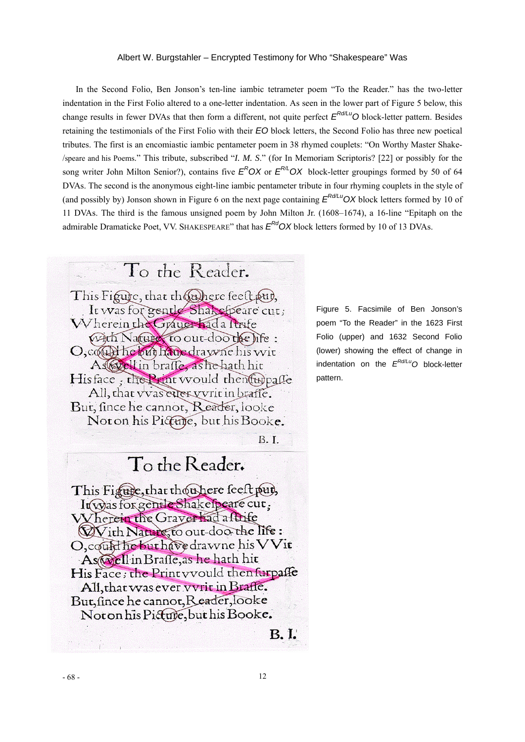In the Second Folio, Ben Jonson's ten-line iambic tetrameter poem "To the Reader." has the two-letter indentation in the First Folio altered to a one-letter indentation. As seen in the lower part of Figure 5 below, this change results in fewer DVAs that then form a different, not quite perfect  $E^{Rd/Lu}$ O block-letter pattern. Besides retaining the testimonials of the First Folio with their *EO* block letters, the Second Folio has three new poetical tributes. The first is an encomiastic iambic pentameter poem in 38 rhymed couplets: "On Worthy Master Shake- /speare and his Poems." This tribute, subscribed "*I. M. S*." (for In Memoriam Scriptoris? [22] or possibly for the song writer John Milton Senior?), contains five  $E^ROX$  or  $E^{R/L}OX$  block-letter groupings formed by 50 of 64 DVAs. The second is the anonymous eight-line iambic pentameter tribute in four rhyming couplets in the style of (and possibly by) Jonson shown in Figure 6 on the next page containing  $E^{Rd/LU}$  OX block letters formed by 10 of 11 DVAs. The third is the famous unsigned poem by John Milton Jr. (1608–1674), a 16-line "Epitaph on the admirable Dramaticke Poet, VV. SHAKESPEARE" that has  $E^{Rd}OX$  block letters formed by 10 of 13 DVAs.



Noton his Picture, but his Booke.

**B.I.** 

Figure 5. Facsimile of Ben Jonson's poem "To the Reader" in the 1623 First Folio (upper) and 1632 Second Folio (lower) showing the effect of change in indentation on the *ERd/LuO* block-letter pattern.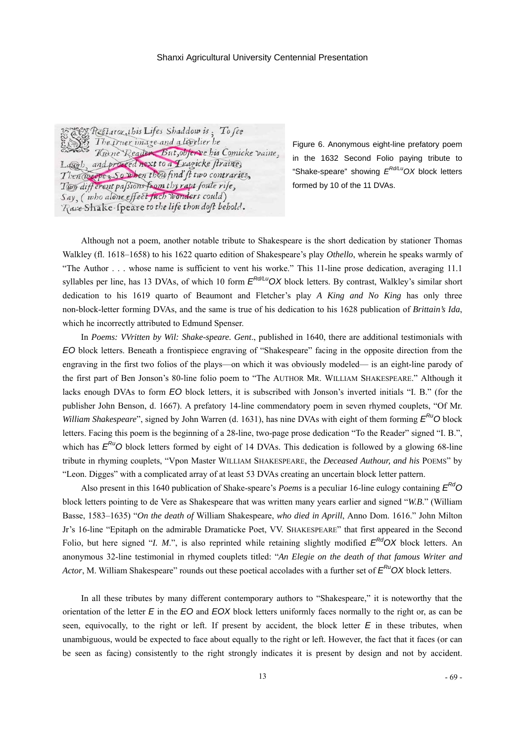Fight Restarouathis Lifes Shaddow is: To fee The truer image and a livelier he Trone Reader But, obferve his Comicke vaine, Lagoh, and proceed next to a Tragicke straine, Then weepers So when thou find' ft two contraries, Two different passions from thy rapt foute rife, Say, (who alone effect fuch wonders could) Rare Shake-speare to the life thou doft behold.

Figure 6. Anonymous eight-line prefatory poem in the 1632 Second Folio paying tribute to "Shake-speare" showing *ERd/LuOX* block letters formed by 10 of the 11 DVAs.

Although not a poem, another notable tribute to Shakespeare is the short dedication by stationer Thomas Walkley (fl. 1618–1658) to his 1622 quarto edition of Shakespeare's play *Othello*, wherein he speaks warmly of "The Author . . . whose name is sufficient to vent his worke." This 11-line prose dedication, averaging 11.1 syllables per line, has 13 DVAs, of which 10 form  $E^{Rd/L}$  OX block letters. By contrast, Walkley's similar short dedication to his 1619 quarto of Beaumont and Fletcher's play *A King and No King* has only three non-block-letter forming DVAs, and the same is true of his dedication to his 1628 publication of *Brittain's Ida*, which he incorrectly attributed to Edmund Spenser.

In *Poems: VVritten by Wil: Shake-speare. Gent*., published in 1640, there are additional testimonials with *EO* block letters. Beneath a frontispiece engraving of "Shakespeare" facing in the opposite direction from the engraving in the first two folios of the plays—on which it was obviously modeled— is an eight-line parody of the first part of Ben Jonson's 80-line folio poem to "The AUTHOR MR. WILLIAM SHAKESPEARE." Although it lacks enough DVAs to form *EO* block letters, it is subscribed with Jonson's inverted initials "I. B." (for the publisher John Benson, d. 1667). A prefatory 14-line commendatory poem in seven rhymed couplets, "Of Mr. *William Shakespeare*", signed by John Warren (d. 1631), has nine DVAs with eight of them forming  $E^{R_U}$ O block letters. Facing this poem is the beginning of a 28-line, two-page prose dedication "To the Reader" signed "I. B.", which has  $E^{Ru}O$  block letters formed by eight of 14 DVAs. This dedication is followed by a glowing 68-line tribute in rhyming couplets, "Vpon Master WILLIAM SHAKESPEARE, the *Deceased Authour, and his* POEMS" by "Leon. Digges" with a complicated array of at least 53 DVAs creating an uncertain block letter pattern.

Also present in this 1640 publication of Shake-speare's *Poems* is a peculiar 16-line eulogy containing *ERdO* block letters pointing to de Vere as Shakespeare that was written many years earlier and signed "*W.B*." (William Basse, 1583–1635) "*On the death of* William Shakespeare, *who died in Aprill*, Anno Dom. 1616." John Milton Jr's 16-line "Epitaph on the admirable Dramaticke Poet, VV. SHAKESPEARE" that first appeared in the Second Folio, but here signed "*I. M.*", is also reprinted while retaining slightly modified  $E^{Rd}OX$  block letters. An anonymous 32-line testimonial in rhymed couplets titled: "*An Elegie on the death of that famous Writer and Actor*, M. William Shakespeare" rounds out these poetical accolades with a further set of  $E^{Ru}$ OX block letters.

In all these tributes by many different contemporary authors to "Shakespeare," it is noteworthy that the orientation of the letter  $E$  in the  $E$ O and  $E$ OX block letters uniformly faces normally to the right or, as can be seen, equivocally, to the right or left. If present by accident, the block letter  $E$  in these tributes, when unambiguous, would be expected to face about equally to the right or left. However, the fact that it faces (or can be seen as facing) consistently to the right strongly indicates it is present by design and not by accident.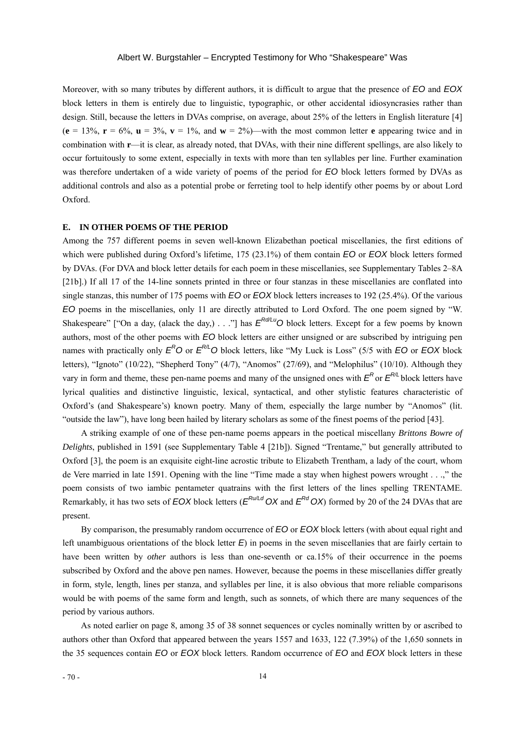Moreover, with so many tributes by different authors, it is difficult to argue that the presence of *EO* and *EOX*  block letters in them is entirely due to linguistic, typographic, or other accidental idiosyncrasies rather than design. Still, because the letters in DVAs comprise, on average, about 25% of the letters in English literature [4]  $(e = 13\%, r = 6\%, u = 3\%, v = 1\%, \text{ and } w = 2\%)$ —with the most common letter **e** appearing twice and in combination with **r**—it is clear, as already noted, that DVAs, with their nine different spellings, are also likely to occur fortuitously to some extent, especially in texts with more than ten syllables per line. Further examination was therefore undertaken of a wide variety of poems of the period for *EO* block letters formed by DVAs as additional controls and also as a potential probe or ferreting tool to help identify other poems by or about Lord Oxford.

### **E. IN OTHER POEMS OF THE PERIOD**

Among the 757 different poems in seven well-known Elizabethan poetical miscellanies, the first editions of which were published during Oxford's lifetime, 175 (23.1%) of them contain *EO* or *EOX* block letters formed by DVAs. (For DVA and block letter details for each poem in these miscellanies, see Supplementary Tables 2–8A [21b].) If all 17 of the 14-line sonnets printed in three or four stanzas in these miscellanies are conflated into single stanzas, this number of 175 poems with *EO* or *EOX* block letters increases to 192 (25.4%). Of the various *EO* poems in the miscellanies, only 11 are directly attributed to Lord Oxford. The one poem signed by "W. Shakespeare" ["On a day, (alack the day,) . . ."] has  $E^{Rd/L}$ <sup>O</sup> block letters. Except for a few poems by known authors, most of the other poems with *EO* block letters are either unsigned or are subscribed by intriguing pen names with practically only  $E^{\mathcal{R}}O$  or  $E^{\mathcal{R}\ell}O$  block letters, like "My Luck is Loss" (5/5 with *EO* or *EOX* block letters), "Ignoto" (10/22), "Shepherd Tony" (4/7), "Anomos" (27/69), and "Melophilus" (10/10). Although they vary in form and theme, these pen-name poems and many of the unsigned ones with  $E^R$  or  $E^{R/L}$  block letters have lyrical qualities and distinctive linguistic, lexical, syntactical, and other stylistic features characteristic of Oxford's (and Shakespeare's) known poetry. Many of them, especially the large number by "Anomos" (lit. "outside the law"), have long been hailed by literary scholars as some of the finest poems of the period [43].

A striking example of one of these pen-name poems appears in the poetical miscellany *Brittons Bowre of Delights*, published in 1591 (see Supplementary Table 4 [21b]). Signed "Trentame," but generally attributed to Oxford [3], the poem is an exquisite eight-line acrostic tribute to Elizabeth Trentham, a lady of the court, whom de Vere married in late 1591. Opening with the line "Time made a stay when highest powers wrought . . .," the poem consists of two iambic pentameter quatrains with the first letters of the lines spelling TRENTAME. Remarkably, it has two sets of *EOX* block letters ( $E^{Ru/Ld}$  *OX* and  $E^{Rd}$  *OX*) formed by 20 of the 24 DVAs that are present.

By comparison, the presumably random occurrence of *EO* or *EOX* block letters (with about equal right and left unambiguous orientations of the block letter *E*) in poems in the seven miscellanies that are fairly certain to have been written by *other* authors is less than one-seventh or ca.15% of their occurrence in the poems subscribed by Oxford and the above pen names. However, because the poems in these miscellanies differ greatly in form, style, length, lines per stanza, and syllables per line, it is also obvious that more reliable comparisons would be with poems of the same form and length, such as sonnets, of which there are many sequences of the period by various authors.

 As noted earlier on page 8, among 35 of 38 sonnet sequences or cycles nominally written by or ascribed to authors other than Oxford that appeared between the years 1557 and 1633, 122 (7.39%) of the 1,650 sonnets in the 35 sequences contain *EO* or *EOX* block letters. Random occurrence of *EO* and *EOX* block letters in these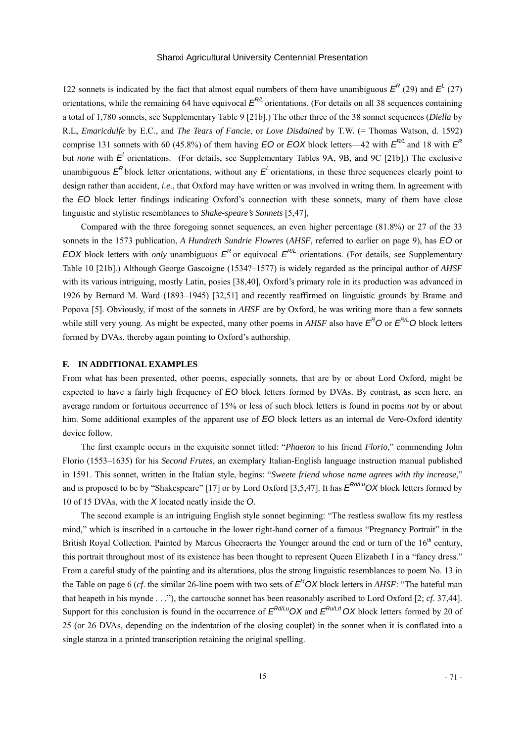122 sonnets is indicated by the fact that almost equal numbers of them have unambiguous  $E^R(29)$  and  $E^L(27)$ orientations, while the remaining 64 have equivocal  $E^{\alpha_L}$  orientations. (For details on all 38 sequences containing a total of 1,780 sonnets, see Supplementary Table 9 [21b].) The other three of the 38 sonnet sequences (*Diella* by R.L, *Emaricdulfe* by E.C., and *The Tears of Fancie*, or *Love Disdained* by T.W. (= Thomas Watson, d. 1592) comprise 131 sonnets with 60 (45.8%) of them having *EO* or *EOX* block letters—42 with  $E^{R/L}$  and 18 with  $E^{R}$ but *none* with  $E<sup>L</sup>$  orientations. (For details, see Supplementary Tables 9A, 9B, and 9C [21b].) The exclusive unambiguous  $E^R$  block letter orientations, without any  $E^L$  orientations, in these three sequences clearly point to design rather than accident, *i.e*., that Oxford may have written or was involved in writng them. In agreement with the *EO* block letter findings indicating Oxford's connection with these sonnets, many of them have close linguistic and stylistic resemblances to *Shake-speare's Sonnets* [5,47],

 Compared with the three foregoing sonnet sequences, an even higher percentage (81.8%) or 27 of the 33 sonnets in the 1573 publication, *A Hundreth Sundrie Flowres* (*AHSF*, referred to earlier on page 9), has *EO* or *EOX* block letters with *only* unambiguous  $E^R$  or equivocal  $E^{R/L}$  orientations. (For details, see Supplementary Table 10 [21b].) Although George Gascoigne (1534?–1577) is widely regarded as the principal author of *AHSF* with its various intriguing, mostly Latin, posies [38,40], Oxford's primary role in its production was advanced in 1926 by Bernard M. Ward (1893–1945) [32,51] and recently reaffirmed on linguistic grounds by Brame and Popova [5]. Obviously, if most of the sonnets in *AHSF* are by Oxford, he was writing more than a few sonnets while still very young. As might be expected, many other poems in *AHSF* also have  $E^RO$  or  $E^{R/L}O$  block letters formed by DVAs, thereby again pointing to Oxford's authorship.

#### **F. IN ADDITIONAL EXAMPLES**

From what has been presented, other poems, especially sonnets, that are by or about Lord Oxford, might be expected to have a fairly high frequency of *EO* block letters formed by DVAs. By contrast, as seen here, an average random or fortuitous occurrence of 15% or less of such block letters is found in poems *not* by or about him. Some additional examples of the apparent use of  $EO$  block letters as an internal de Vere-Oxford identity device follow.

The first example occurs in the exquisite sonnet titled: "*Phaeton* to his friend *Florio*," commending John Florio (1553–1635) for his *Second Frutes*, an exemplary Italian-English language instruction manual published in 1591. This sonnet, written in the Italian style, begins: "*Sweete friend whose name agrees with thy increase*," and is proposed to be by "Shakespeare" [17] or by Lord Oxford [3,5,47]. It has  $E^{Rd/Lu}$ OX block letters formed by 10 of 15 DVAs, with the *X* located neatly inside the *O*.

The second example is an intriguing English style sonnet beginning: "The restless swallow fits my restless mind," which is inscribed in a cartouche in the lower right-hand corner of a famous "Pregnancy Portrait" in the British Royal Collection. Painted by Marcus Gheeraerts the Younger around the end or turn of the 16<sup>th</sup> century, this portrait throughout most of its existence has been thought to represent Queen Elizabeth I in a "fancy dress." From a careful study of the painting and its alterations, plus the strong linguistic resemblances to poem No. 13 in the Table on page 6 (*cf*. the similar 26-line poem with two sets of *ER OX* block letters in *AHSF*: "The hateful man that heapeth in his mynde . . ."), the cartouche sonnet has been reasonably ascribed to Lord Oxford [2; *cf*. 37,44]. Support for this conclusion is found in the occurrence of  $E^{Rd/Lu}$ OX and  $E^{Ru/Ld}$ OX block letters formed by 20 of 25 (or 26 DVAs, depending on the indentation of the closing couplet) in the sonnet when it is conflated into a single stanza in a printed transcription retaining the original spelling.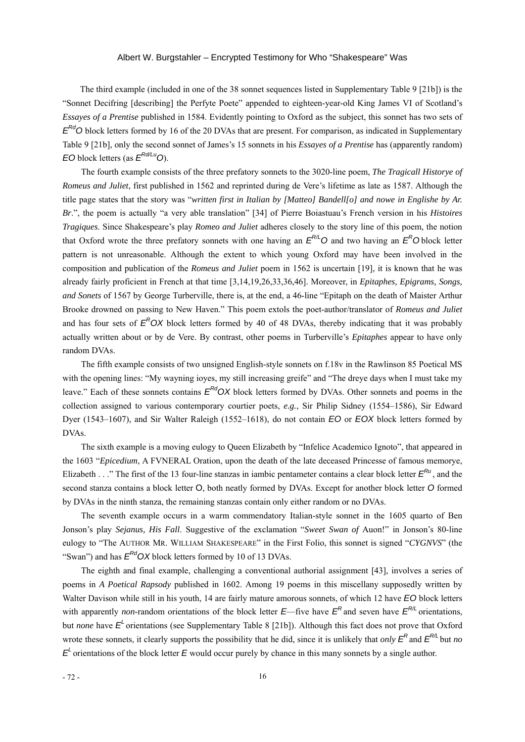The third example (included in one of the 38 sonnet sequences listed in Supplementary Table 9 [21b]) is the "Sonnet Decifring [describing] the Perfyte Poete" appended to eighteen-year-old King James VI of Scotland's *Essayes of a Prentise* published in 1584. Evidently pointing to Oxford as the subject, this sonnet has two sets of  $E^{Rd}$ O block letters formed by 16 of the 20 DVAs that are present. For comparison, as indicated in Supplementary Table 9 [21b], only the second sonnet of James's 15 sonnets in his *Essayes of a Prentise* has (apparently random) *EO* block letters (as *ERd/LuO*).

The fourth example consists of the three prefatory sonnets to the 3020-line poem, *The Tragicall Historye of Romeus and Juliet*, first published in 1562 and reprinted during de Vere's lifetime as late as 1587. Although the title page states that the story was "*written first in Italian by [Matteo] Bandell[o] and nowe in Englishe by Ar. Br*.", the poem is actually "a very able translation" [34] of Pierre Boiastuau's French version in his *Histoires Tragiques*. Since Shakespeare's play *Romeo and Juliet* adheres closely to the story line of this poem, the notion that Oxford wrote the three prefatory sonnets with one having an  $E^{R/L}$ O and two having an  $E^R$ O block letter pattern is not unreasonable. Although the extent to which young Oxford may have been involved in the composition and publication of the *Romeus and Juliet* poem in 1562 is uncertain [19], it is known that he was already fairly proficient in French at that time [3,14,19,26,33,36,46]. Moreover, in *Epitaphes, Epigrams, Songs, and Sonets* of 1567 by George Turberville, there is, at the end, a 46-line "Epitaph on the death of Maister Arthur Brooke drowned on passing to New Haven." This poem extols the poet-author/translator of *Romeus and Juliet*  and has four sets of  $E^R$ OX block letters formed by 40 of 48 DVAs, thereby indicating that it was probably actually written about or by de Vere. By contrast, other poems in Turberville's *Epitaphes* appear to have only random DVAs.

The fifth example consists of two unsigned English-style sonnets on f.18v in the Rawlinson 85 Poetical MS with the opening lines: "My wayning ioyes, my still increasing greife" and "The dreye days when I must take my leave." Each of these sonnets contains  $E^{Rd}OX$  block letters formed by DVAs. Other sonnets and poems in the collection assigned to various contemporary courtier poets, *e.g.*, Sir Philip Sidney (1554–1586), Sir Edward Dyer (1543–1607), and Sir Walter Raleigh (1552–1618), do not contain *EO* or *EOX* block letters formed by DVAs.

The sixth example is a moving eulogy to Queen Elizabeth by "Infelice Academico Ignoto", that appeared in the 1603 "*Epicedium*, A FVNERAL Oration, upon the death of the late deceased Princesse of famous memorye, Elizabeth . . ." The first of the 13 four-line stanzas in iambic pentameter contains a clear block letter  $E^{Ru}$ , and the second stanza contains a block letter O, both neatly formed by DVAs. Except for another block letter *O* formed by DVAs in the ninth stanza, the remaining stanzas contain only either random or no DVAs.

The seventh example occurs in a warm commendatory Italian-style sonnet in the 1605 quarto of Ben Jonson's play *Sejanus, His Fall*. Suggestive of the exclamation "*Sweet Swan of* Auon!" in Jonson's 80-line eulogy to "The AUTHOR MR. WILLIAM SHAKESPEARE" in the First Folio, this sonnet is signed "*CYGNVS*" (the "Swan") and has  $E^{Rd}$  OX block letters formed by 10 of 13 DVAs.

The eighth and final example, challenging a conventional authorial assignment [43], involves a series of poems in *A Poetical Rapsody* published in 1602. Among 19 poems in this miscellany supposedly written by Walter Davison while still in his youth, 14 are fairly mature amorous sonnets, of which 12 have *EO* block letters with apparently *non*-random orientations of the block letter  $E$ —five have  $E<sup>R</sup>$  and seven have  $E<sup>R/L</sup>$  orientations, but *none* have  $E<sup>L</sup>$  orientations (see Supplementary Table 8 [21b]). Although this fact does not prove that Oxford wrote these sonnets, it clearly supports the possibility that he did, since it is unlikely that *only*  $E^R$  and  $E^{R/L}$  but *no E*<sup>L</sup> orientations of the block letter *E* would occur purely by chance in this many sonnets by a single author.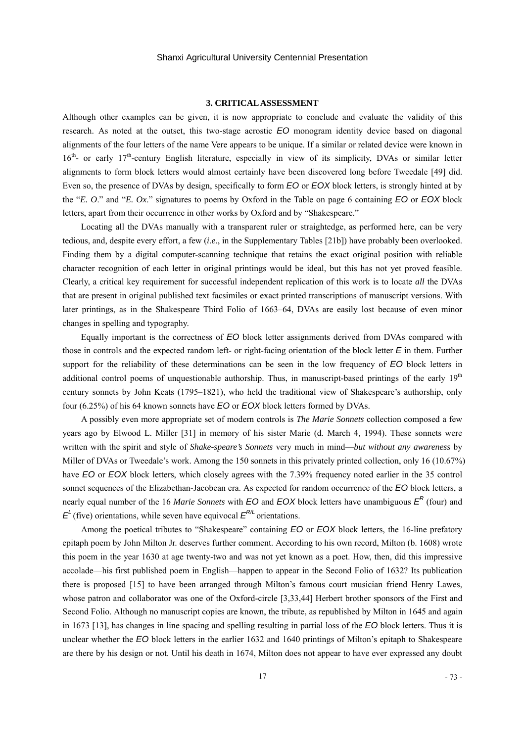#### **3. CRITICAL ASSESSMENT**

Although other examples can be given, it is now appropriate to conclude and evaluate the validity of this research. As noted at the outset, this two-stage acrostic *EO* monogram identity device based on diagonal alignments of the four letters of the name Vere appears to be unique. If a similar or related device were known in 16<sup>th</sup>- or early 17<sup>th</sup>-century English literature, especially in view of its simplicity, DVAs or similar letter alignments to form block letters would almost certainly have been discovered long before Tweedale [49] did. Even so, the presence of DVAs by design, specifically to form *EO* or *EOX* block letters, is strongly hinted at by the "*E. O*." and "*E. Ox*." signatures to poems by Oxford in the Table on page 6 containing *EO* or *EOX* block letters, apart from their occurrence in other works by Oxford and by "Shakespeare."

Locating all the DVAs manually with a transparent ruler or straightedge, as performed here, can be very tedious, and, despite every effort, a few (*i*.*e*., in the Supplementary Tables [21b]) have probably been overlooked. Finding them by a digital computer-scanning technique that retains the exact original position with reliable character recognition of each letter in original printings would be ideal, but this has not yet proved feasible. Clearly, a critical key requirement for successful independent replication of this work is to locate *all* the DVAs that are present in original published text facsimiles or exact printed transcriptions of manuscript versions. With later printings, as in the Shakespeare Third Folio of 1663–64, DVAs are easily lost because of even minor changes in spelling and typography.

Equally important is the correctness of *EO* block letter assignments derived from DVAs compared with those in controls and the expected random left- or right-facing orientation of the block letter *E* in them. Further support for the reliability of these determinations can be seen in the low frequency of *EO* block letters in additional control poems of unquestionable authorship. Thus, in manuscript-based printings of the early  $19<sup>th</sup>$ century sonnets by John Keats (1795–1821), who held the traditional view of Shakespeare's authorship, only four (6.25%) of his 64 known sonnets have *EO* or *EOX* block letters formed by DVAs.

A possibly even more appropriate set of modern controls is *The Marie Sonnets* collection composed a few years ago by Elwood L. Miller [31] in memory of his sister Marie (d. March 4, 1994). These sonnets were written with the spirit and style of *Shake-speare's Sonnets* very much in mind—*but without any awareness* by Miller of DVAs or Tweedale's work. Among the 150 sonnets in this privately printed collection, only 16 (10.67%) have *EO* or *EOX* block letters, which closely agrees with the 7.39% frequency noted earlier in the 35 control sonnet sequences of the Elizabethan-Jacobean era. As expected for random occurrence of the *EO* block letters, a nearly equal number of the 16 *Marie Sonnets* with *EO* and *EOX* block letters have unambiguous  $E^R$  (four) and  $E<sup>L</sup>$  (five) orientations, while seven have equivocal  $E<sup>R/L</sup>$  orientations.

Among the poetical tributes to "Shakespeare" containing *EO* or *EOX* block letters, the 16-line prefatory epitaph poem by John Milton Jr. deserves further comment. According to his own record, Milton (b. 1608) wrote this poem in the year 1630 at age twenty-two and was not yet known as a poet. How, then, did this impressive accolade—his first published poem in English—happen to appear in the Second Folio of 1632? Its publication there is proposed [15] to have been arranged through Milton's famous court musician friend Henry Lawes, whose patron and collaborator was one of the Oxford-circle [3,33,44] Herbert brother sponsors of the First and Second Folio. Although no manuscript copies are known, the tribute, as republished by Milton in 1645 and again in 1673 [13], has changes in line spacing and spelling resulting in partial loss of the *EO* block letters. Thus it is unclear whether the *EO* block letters in the earlier 1632 and 1640 printings of Milton's epitaph to Shakespeare are there by his design or not. Until his death in 1674, Milton does not appear to have ever expressed any doubt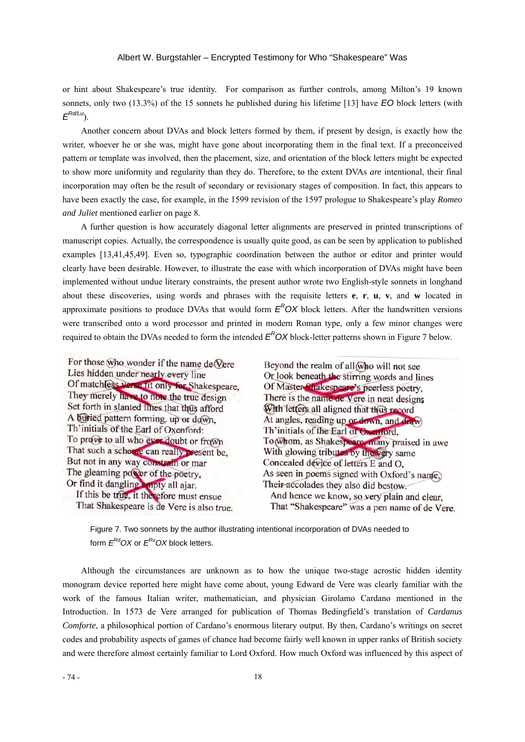or hint about Shakespeare's true identity. For comparison as further controls, among Milton's 19 known sonnets, only two (13.3%) of the 15 sonnets he published during his lifetime [13] have *EO* block letters (with *ERd/Lu*).

Another concern about DVAs and block letters formed by them, if present by design, is exactly how the writer, whoever he or she was, might have gone about incorporating them in the final text. If a preconceived pattern or template was involved, then the placement, size, and orientation of the block letters might be expected to show more uniformity and regularity than they do. Therefore, to the extent DVAs *are* intentional, their final incorporation may often be the result of secondary or revisionary stages of composition. In fact, this appears to have been exactly the case, for example, in the 1599 revision of the 1597 prologue to Shakespeare's play *Romeo and Juliet* mentioned earlier on page 8.

A further question is how accurately diagonal letter alignments are preserved in printed transcriptions of manuscript copies. Actually, the correspondence is usually quite good, as can be seen by application to published examples [13,41,45,49]. Even so, typographic coordination between the author or editor and printer would clearly have been desirable. However, to illustrate the ease with which incorporation of DVAs might have been implemented without undue literary constraints, the present author wrote two English-style sonnets in longhand about these discoveries, using words and phrases with the requisite letters **e**, **r**, **u**, **v**, and **w** located in approximate positions to produce DVAs that would form  $E^R$ OX block letters. After the handwritten versions were transcribed onto a word processor and printed in modern Roman type, only a few minor changes were required to obtain the DVAs needed to form the intended  $E<sup>R</sup>OX$  block-letter patterns shown in Figure 7 below.

For those who wonder if the name de Vere Lies hidden under nearly every line Of matchless verse fit only for Shakespeare, They merely have to note the true design Set forth in slanted lines that thus afford A buried pattern forming, up or down, Th'initials of the Earl of Oxenford: To prove to all who ever doubt or from That such a scheme can really present be, But not in any way constrain or mar The gleaming power of the poetry. Or find it dangling ampty all ajar. If this be true, it therefore must ensue That Shakespeare is de Vere is also true.

Beyond the realm of all who will not see Or look beneath the stirring words and lines Of Master Shakespeare's peerless poetry, There is the name de Vere in neat designs With letters all aligned that thus record At angles, reading up or down, and draw) Th'initials of the Earl of Oxenford, To whom, as Shakespeare, many praised in awe With glowing tributes by the very same Concealed device of letters E and O, As seen in poems signed with Oxford's name, Their accolades they also did bestow. And hence we know, so very plain and clear, That "Shakespeare" was a pen name of de Vere.

 Figure 7. Two sonnets by the author illustrating intentional incorporation of DVAs needed to form  $E^{Rd}$ OX or  $E^{Ru}$ OX block letters.

Although the circumstances are unknown as to how the unique two-stage acrostic hidden identity monogram device reported here might have come about, young Edward de Vere was clearly familiar with the work of the famous Italian writer, mathematician, and physician Girolamo Cardano mentioned in the Introduction. In 1573 de Vere arranged for publication of Thomas Bedingfield's translation of *Cardanus Comforte*, a philosophical portion of Cardano's enormous literary output. By then, Cardano's writings on secret codes and probability aspects of games of chance had become fairly well known in upper ranks of British society and were therefore almost certainly familiar to Lord Oxford. How much Oxford was influenced by this aspect of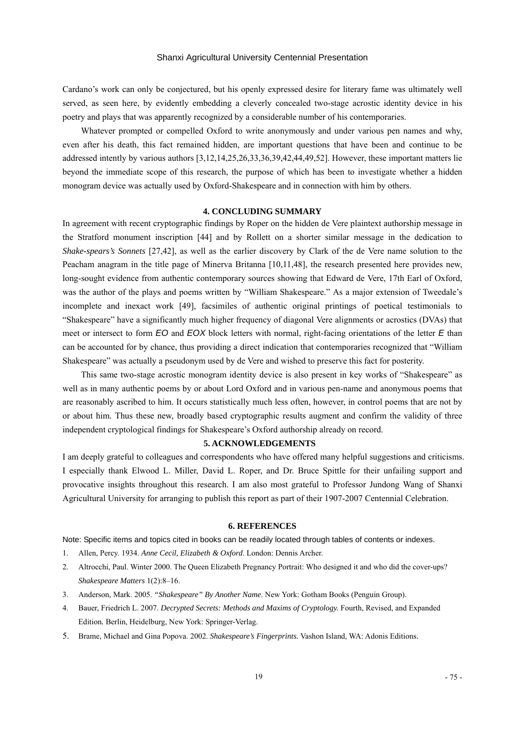Cardano's work can only be conjectured, but his openly expressed desire for literary fame was ultimately well served, as seen here, by evidently embedding a cleverly concealed two-stage acrostic identity device in his poetry and plays that was apparently recognized by a considerable number of his contemporaries.

Whatever prompted or compelled Oxford to write anonymously and under various pen names and why, even after his death, this fact remained hidden, are important questions that have been and continue to be addressed intently by various authors [3,12,14,25,26,33,36,39,42,44,49,52]. However, these important matters lie beyond the immediate scope of this research, the purpose of which has been to investigate whether a hidden monogram device was actually used by Oxford-Shakespeare and in connection with him by others.

#### **4. CONCLUDING SUMMARY**

In agreement with recent cryptographic findings by Roper on the hidden de Vere plaintext authorship message in the Stratford monument inscription [44] and by Rollett on a shorter similar message in the dedication to *Shake-spears's Sonnets* [27,42], as well as the earlier discovery by Clark of the de Vere name solution to the Peacham anagram in the title page of Minerva Britanna [10,11,48], the research presented here provides new, long-sought evidence from authentic contemporary sources showing that Edward de Vere, 17th Earl of Oxford, was the author of the plays and poems written by "William Shakespeare." As a major extension of Tweedale's incomplete and inexact work [49], facsimiles of authentic original printings of poetical testimonials to "Shakespeare" have a significantly much higher frequency of diagonal Vere alignments or acrostics (DVAs) that meet or intersect to form *EO* and *EOX* block letters with normal, right-facing orientations of the letter *E* than can be accounted for by chance, thus providing a direct indication that contemporaries recognized that "William Shakespeare" was actually a pseudonym used by de Vere and wished to preserve this fact for posterity.

This same two-stage acrostic monogram identity device is also present in key works of "Shakespeare" as well as in many authentic poems by or about Lord Oxford and in various pen-name and anonymous poems that are reasonably ascribed to him. It occurs statistically much less often, however, in control poems that are not by or about him. Thus these new, broadly based cryptographic results augment and confirm the validity of three independent cryptological findings for Shakespeare's Oxford authorship already on record.

#### **5. ACKNOWLEDGEMENTS**

I am deeply grateful to colleagues and correspondents who have offered many helpful suggestions and criticisms. I especially thank Elwood L. Miller, David L. Roper, and Dr. Bruce Spittle for their unfailing support and provocative insights throughout this research. I am also most grateful to Professor Jundong Wang of Shanxi Agricultural University for arranging to publish this report as part of their 1907-2007 Centennial Celebration.

## **6. REFERENCES**

Note: Specific items and topics cited in books can be readily located through tables of contents or indexes.

- 1. Allen, Percy. 1934. *Anne Cecil, Elizabeth & Oxford*. London: Dennis Archer.
- 2. Altrocchi, Paul. Winter 2000. The Queen Elizabeth Pregnancy Portrait: Who designed it and who did the cover-ups? *Shakespeare Matters* 1(2):8–16.
- 3. Anderson, Mark. 2005. *"Shakespeare" By Another Name*. New York: Gotham Books (Penguin Group).
- 4. Bauer, Friedrich L. 2007. *Decrypted Secrets: Methods and Maxims of Cryptology.* Fourth, Revised, and Expanded Edition*.* Berlin, Heidelburg, New York: Springer-Verlag.
- 5. Brame, Michael and Gina Popova. 2002. *Shakespeare's Fingerprints.* Vashon Island, WA: Adonis Editions.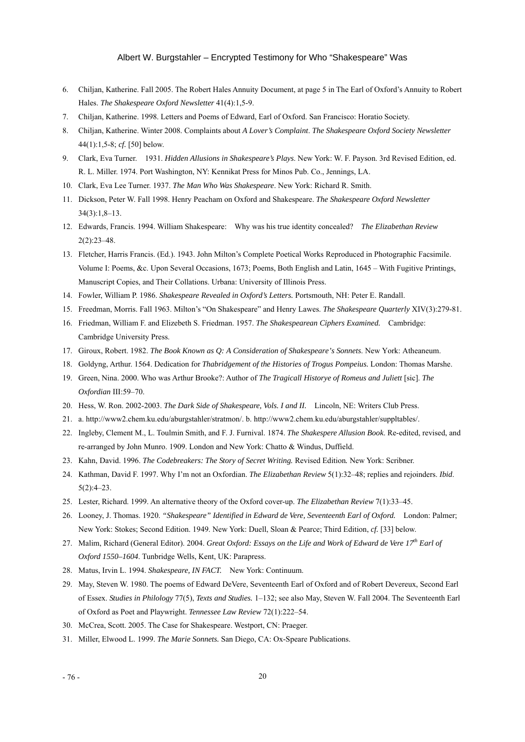- 6. Chiljan, Katherine. Fall 2005. The Robert Hales Annuity Document, at page 5 in The Earl of Oxford's Annuity to Robert Hales. *The Shakespeare Oxford Newsletter* 41(4):1,5-9.
- 7. Chiljan, Katherine. 1998. Letters and Poems of Edward, Earl of Oxford. San Francisco: Horatio Society.
- 8. Chiljan, Katherine. Winter 2008. Complaints about *A Lover's Complaint*. *The Shakespeare Oxford Society Newsletter* 44(1):1,5-8; *cf.* [50] below.
- 9. Clark, Eva Turner. 1931. *Hidden Allusions in Shakespeare's Plays*. New York: W. F. Payson. 3rd Revised Edition, ed. R. L. Miller. 1974. Port Washington, NY: Kennikat Press for Minos Pub. Co., Jennings, LA.
- 10. Clark, Eva Lee Turner. 1937. *The Man Who Was Shakespeare*. New York: Richard R. Smith.
- 11. Dickson, Peter W. Fall 1998. Henry Peacham on Oxford and Shakespeare. *The Shakespeare Oxford Newsletter*  34(3):1,8–13.
- 12. Edwards, Francis. 1994. William Shakespeare: Why was his true identity concealed? *The Elizabethan Review* 2(2):23–48.
- 13. Fletcher, Harris Francis. (Ed.). 1943. John Milton's Complete Poetical Works Reproduced in Photographic Facsimile. Volume I: Poems, &c. Upon Several Occasions, 1673; Poems, Both English and Latin, 1645 – With Fugitive Printings, Manuscript Copies, and Their Collations. Urbana: University of Illinois Press.
- 14. Fowler, William P. 1986. *Shakespeare Revealed in Oxford's Letters.* Portsmouth, NH: Peter E. Randall.
- 15. Freedman, Morris. Fall 1963. Milton's "On Shakespeare" and Henry Lawes. *The Shakespeare Quarterly* XIV(3):279-81.
- 16. Friedman, William F. and Elizebeth S. Friedman. 1957. *The Shakespearean Ciphers Examined.* Cambridge: Cambridge University Press.
- 17. Giroux, Robert. 1982. *The Book Known as Q: A Consideration of Shakespeare's Sonnets*. New York: Atheaneum.
- 18. Goldyng, Arthur. 1564. Dedication for *Thabridgement of the Histories of Trogus Pompeius.* London: Thomas Marshe.
- 19. Green, Nina. 2000. Who was Arthur Brooke?: Author of *The Tragicall Historye of Romeus and Juliett* [sic]. *The Oxfordian* III:59–70.
- 20. Hess, W. Ron. 2002-2003. *The Dark Side of Shakespeare, Vols. I and II.* Lincoln, NE: Writers Club Press.
- 21. a. [http://www2.chem.ku.edu/aburgstahler/stratmon/. b. http://www2.chem.ku.edu/aburgstahler/suppltables/.](http://www2.chem.ku.edu/ABurgstahler/stratmon/.%20b.%20http://www2.chem.ku.edu/aburgstahler/suppltables/)
- 22. Ingleby, Clement M., L. Toulmin Smith, and F. J. Furnival. 1874. *The Shakespere Allusion Book*. Re-edited, revised, and re-arranged by John Munro. 1909. London and New York: Chatto & Windus, Duffield.
- 23. Kahn, David. 1996. *The Codebreakers: The Story of Secret Writing.* Revised Edition*.* New York: Scribner.
- 24. Kathman, David F. 1997. Why I'm not an Oxfordian. *The Elizabethan Review* 5(1):32–48; replies and rejoinders. *Ibid*. 5(2):4–23.
- 25. Lester, Richard. 1999. An alternative theory of the Oxford cover-up. *The Elizabethan Review* 7(1):33–45.
- 26. Looney, J. Thomas. 1920. *"Shakespeare" Identified in Edward de Vere, Seventeenth Earl of Oxford.* London: Palmer; New York: Stokes; Second Edition. 1949. New York: Duell, Sloan & Pearce; Third Edition, *cf.* [33] below.
- 27. Malim, Richard (General Editor). 2004. *Great Oxford: Essays on the Life and Work of Edward de Vere 17th Earl of Oxford 1550–1604*. Tunbridge Wells, Kent, UK: Parapress.
- 28. Matus, Irvin L. 1994. *Shakespeare, IN FACT.* New York: Continuum.
- 29. May, Steven W. 1980. The poems of Edward DeVere, Seventeenth Earl of Oxford and of Robert Devereux, Second Earl of Essex. *Studies in Philology* 77(5), *Texts and Studies.* 1–132; see also May, Steven W. Fall 2004. The Seventeenth Earl of Oxford as Poet and Playwright. *Tennessee Law Review* 72(1):222–54.
- 30. McCrea, Scott. 2005. The Case for Shakespeare. Westport, CN: Praeger.
- 31. Miller, Elwood L. 1999. *The Marie Sonnets.* San Diego, CA: Ox-Speare Publications.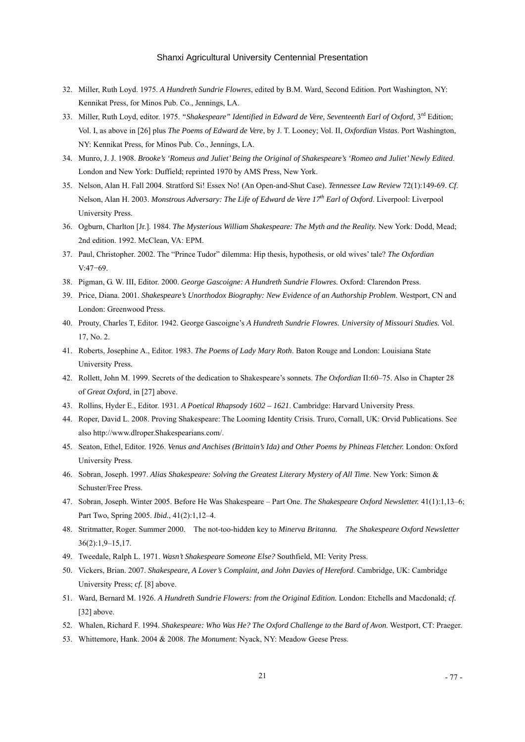- 32. Miller, Ruth Loyd. 1975. *A Hundreth Sundrie Flowres*, edited by B.M. Ward, Second Edition. Port Washington, NY: Kennikat Press, for Minos Pub. Co., Jennings, LA.
- 33. Miller, Ruth Loyd, editor. 1975. *"Shakespeare" Identified in Edward de Vere, Seventeenth Earl of Oxford*, 3rd Edition; Vol. I, as above in [26] plus *The Poems of Edward de Vere*, by J. T. Looney; Vol. II, *Oxfordian Vistas*. Port Washington, NY: Kennikat Press, for Minos Pub. Co., Jennings, LA.
- 34. Munro, J. J. 1908. *Brooke's 'Romeus and Juliet' Being the Original of Shakespeare's 'Romeo and Juliet' Newly Edited*. London and New York: Duffield; reprinted 1970 by AMS Press, New York.
- 35. Nelson, Alan H. Fall 2004. Stratford Si! Essex No! (An Open-and-Shut Case). *Tennessee Law Review* 72(1):149-69. *Cf*. Nelson, Alan H. 2003. *Monstrous Adversary: The Life of Edward de Vere 17th Earl of Oxford*. Liverpool: Liverpool University Press.
- 36. Ogburn, Charlton [Jr.]. 1984. *The Mysterious William Shakespeare: The Myth and the Reality.* New York: Dodd, Mead; 2nd edition. 1992. McClean, VA: EPM.
- 37. Paul, Christopher. 2002. The "Prince Tudor" dilemma: Hip thesis, hypothesis, or old wives' tale? *The Oxfordian*  V:47−69.
- 38. Pigman, G. W. III, Editor. 2000. *George Gascoigne: A Hundreth Sundrie Flowres.* Oxford: Clarendon Press.
- 39. Price, Diana. 2001. *Shakespeare's Unorthodox Biography: New Evidence of an Authorship Problem*. Westport, CN and London: Greenwood Press.
- 40. Prouty, Charles T, Editor. 1942. George Gascoigne's *A Hundreth Sundrie Flowres. University of Missouri Studies.* Vol. 17, No. 2.
- 41. Roberts, Josephine A., Editor. 1983. *The Poems of Lady Mary Roth*. Baton Rouge and London: Louisiana State University Press.
- 42. Rollett, John M. 1999. Secrets of the dedication to Shakespeare's sonnets. *The Oxfordian* II:60–75. Also in Chapter 28 of *Great Oxford*, in [27] above.
- 43. Rollins, Hyder E., Editor. 1931. *A Poetical Rhapsody 1602 1621*. Cambridge: Harvard University Press.
- 44. Roper, David L. 2008. Proving Shakespeare: The Looming Identity Crisis. Truro, Cornall, UK: Orvid Publications. See also [http://www.dlroper.Shakespearians.com/.](http://www.dlroper.shakespearians.com/)
- 45. Seaton, Ethel, Editor. 1926. *Venus and Anchises (Brittain's Ida) and Other Poems by Phineas Fletcher.* London: Oxford University Press.
- 46. Sobran, Joseph. 1997. *Alias Shakespeare: Solving the Greatest Literary Mystery of All Time*. New York: Simon & Schuster/Free Press.
- 47. Sobran, Joseph. Winter 2005. Before He Was Shakespeare Part One. *The Shakespeare Oxford Newsletter.* 41(1):1,13–6; Part Two, Spring 2005. *Ibid.*, 41(2):1,12–4.
- 48. Stritmatter, Roger. Summer 2000. The not-too-hidden key to *Minerva Britanna. The Shakespeare Oxford Newsletter* 36(2):1,9–15,17.
- 49. Tweedale, Ralph L. 1971. *Wasn't Shakespeare Someone Else?* Southfield, MI: Verity Press.
- 50. Vickers, Brian. 2007. *Shakespeare, A Lover's Complaint, and John Davies of Hereford*. Cambridge, UK: Cambridge University Press; *cf.* [8] above.
- 51. Ward, Bernard M. 1926. *A Hundreth Sundrie Flowers: from the Original Edition.* London: Etchells and Macdonald; *cf.*  [32] above.
- 52. Whalen, Richard F. 1994. *Shakespeare: Who Was He? The Oxford Challenge to the Bard of Avon*. Westport, CT: Praeger.
- 53. Whittemore, Hank. 2004 & 2008. *The Monument*: Nyack, NY: Meadow Geese Press.